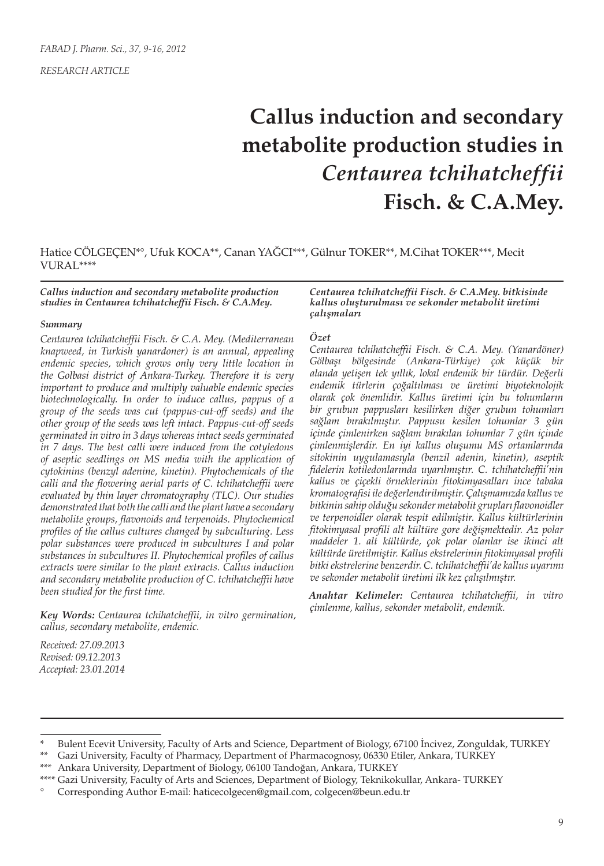*RESEARCH ARTICLE*

# **Callus induction and secondary metabolite production studies in**  *Centaurea tchihatcheffii* **Fisch. & C.A.Mey.**

Hatice CÖLGEÇEN\*°, Ufuk KOCA\*\*, Canan YAĞCI\*\*\*, Gülnur TOKER\*\*, M.Cihat TOKER\*\*\*, Mecit VURAL\*\*\*\*

#### *Callus induction and secondary metabolite production studies in Centaurea tchihatcheffii Fisch. & C.A.Mey.*

#### *Summary*

*Centaurea tchihatcheffii Fisch. & C.A. Mey. (Mediterranean knapweed, in Turkish yanardoner) is an annual, appealing endemic species, which grows only very little location in the Golbasi district of Ankara-Turkey. Therefore it is very important to produce and multiply valuable endemic species biotechnologically. In order to induce callus, pappus of a group of the seeds was cut (pappus-cut-off seeds) and the other group of the seeds was left intact. Pappus-cut-off seeds germinated in vitro in 3 days whereas intact seeds germinated in 7 days. The best calli were induced from the cotyledons of aseptic seedlings on MS media with the application of cytokinins (benzyl adenine, kinetin). Phytochemicals of the calli and the flowering aerial parts of C. tchihatcheffii were evaluated by thin layer chromatography (TLC). Our studies demonstrated that both the calli and the plant have a secondary metabolite groups, flavonoids and terpenoids. Phytochemical profiles of the callus cultures changed by subculturing. Less polar substances were produced in subcultures I and polar substances in subcultures II. Phytochemical profiles of callus extracts were similar to the plant extracts. Callus induction and secondary metabolite production of C. tchihatcheffii have been studied for the first time.*

*Key Words: Centaurea tchihatcheffii, in vitro germination, callus, secondary metabolite, endemic.*

*Received: 27.09.2013 Revised: 09.12.2013 Accepted: 23.01.2014*

#### *Centaurea tchihatcheffii Fisch. & C.A.Mey. bitkisinde kallus oluşturulması ve sekonder metabolit üretimi çalışmaları*

#### *Özet*

*Centaurea tchihatcheffii Fisch. & C.A. Mey. (Yanardöner) Gölbaşı bölgesinde (Ankara-Türkiye) çok küçük bir alanda yetişen tek yıllık, lokal endemik bir türdür. Değerli endemik türlerin çoğaltılması ve üretimi biyoteknolojik olarak çok önemlidir. Kallus üretimi için bu tohumların bir grubun pappusları kesilirken diğer grubun tohumları sağlam bırakılmıştır. Pappusu kesilen tohumlar 3 gün içinde çimlenirken sağlam bırakılan tohumlar 7 gün içinde çimlenmişlerdir. En iyi kallus oluşumu MS ortamlarında sitokinin uygulamasıyla (benzil adenin, kinetin), aseptik fidelerin kotiledonlarında uyarılmıştır. C. tchihatcheffii'nin kallus ve çiçekli örneklerinin fitokimyasalları ince tabaka kromatografisi ile değerlendirilmiştir. Çalışmamızda kallus ve bitkinin sahip olduğu sekonder metabolit grupları flavonoidler ve terpenoidler olarak tespit edilmiştir. Kallus kültürlerinin fitokimyasal profili alt kültüre gore değişmektedir. Az polar maddeler 1. alt kültürde, çok polar olanlar ise ikinci alt kültürde üretilmiştir. Kallus ekstrelerinin fitokimyasal profili bitki ekstrelerine benzerdir. C. tchihatcheffii'de kallus uyarımı ve sekonder metabolit üretimi ilk kez çalışılmıştır.*

*Anahtar Kelimeler: Centaurea tchihatcheffii, in vitro çimlenme, kallus, sekonder metabolit, endemik.*

Ankara University, Department of Biology, 06100 Tandoğan, Ankara, TURKEY

Bulent Ecevit University, Faculty of Arts and Science, Department of Biology, 67100 Incivez, Zonguldak, TURKEY

Gazi University, Faculty of Pharmacy, Department of Pharmacognosy, 06330 Etiler, Ankara, TURKEY

<sup>\*\*\*\*</sup> Gazi University, Faculty of Arts and Sciences, Department of Biology, Teknikokullar, Ankara- TURKEY

<sup>°</sup> Corresponding Author E-mail: haticecolgecen@gmail.com, colgecen@beun.edu.tr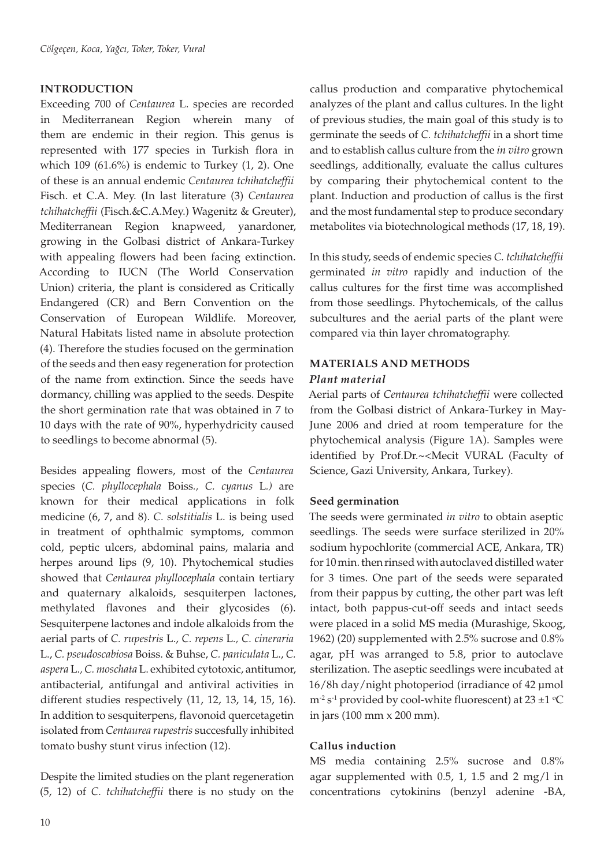# **INTRODUCTION**

Exceeding 700 of *Centaurea* L. species are recorded in Mediterranean Region wherein many of them are endemic in their region. This genus is represented with 177 species in Turkish flora in which  $109$  (61.6%) is endemic to Turkey (1, 2). One of these is an annual endemic *Centaurea tchihatcheffii* Fisch. et C.A. Mey. (In last literature (3) *Centaurea tchihatcheffii* (Fisch.&C.A.Mey.) Wagenitz & Greuter), Mediterranean Region knapweed, yanardoner, growing in the Golbasi district of Ankara-Turkey with appealing flowers had been facing extinction. According to IUCN (The World Conservation Union) criteria, the plant is considered as Critically Endangered (CR) and Bern Convention on the Conservation of European Wildlife. Moreover, Natural Habitats listed name in absolute protection (4). Therefore the studies focused on the germination of the seeds and then easy regeneration for protection of the name from extinction. Since the seeds have dormancy, chilling was applied to the seeds. Despite the short germination rate that was obtained in 7 to 10 days with the rate of 90%, hyperhydricity caused to seedlings to become abnormal (5).

Besides appealing flowers, most of the *Centaurea* species (*C. phyllocephala* Boiss*., C. cyanus* L*.)* are known for their medical applications in folk medicine (6, 7, and 8). *C. solstitialis* L. is being used in treatment of ophthalmic symptoms, common cold, peptic ulcers, abdominal pains, malaria and herpes around lips (9, 10). Phytochemical studies showed that *Centaurea phyllocephala* contain tertiary and quaternary alkaloids, sesquiterpen lactones, methylated flavones and their glycosides (6). Sesquiterpene lactones and indole alkaloids from the aerial parts of *C. rupestris* L., *C. repens* L*., C. cineraria*  L., *C. pseudoscabiosa* Boiss. & Buhse, *C. paniculata* L., *C. aspera* L.*, C. moschata* L. exhibited cytotoxic, antitumor, antibacterial, antifungal and antiviral activities in different studies respectively (11, 12, 13, 14, 15, 16). In addition to sesquiterpens, flavonoid quercetagetin isolated from *Centaurea rupestris* succesfully inhibited tomato bushy stunt virus infection (12).

Despite the limited studies on the plant regeneration (5, 12) of *C. tchihatcheffii* there is no study on the

callus production and comparative phytochemical analyzes of the plant and callus cultures. In the light of previous studies, the main goal of this study is to germinate the seeds of *C. tchihatcheffii* in a short time and to establish callus culture from the *in vitro* grown seedlings, additionally, evaluate the callus cultures by comparing their phytochemical content to the plant. Induction and production of callus is the first and the most fundamental step to produce secondary metabolites via biotechnological methods (17, 18, 19).

In this study, seeds of endemic species *C. tchihatcheffii* germinated *in vitro* rapidly and induction of the callus cultures for the first time was accomplished from those seedlings. Phytochemicals, of the callus subcultures and the aerial parts of the plant were compared via thin layer chromatography.

## **MATERIALS AND METHODS**

## *Plant material*

Aerial parts of *Centaurea tchihatcheffii* were collected from the Golbasi district of Ankara-Turkey in May-June 2006 and dried at room temperature for the phytochemical analysis (Figure 1A). Samples were identified by Prof.Dr.~<Mecit VURAL (Faculty of Science, Gazi University, Ankara, Turkey).

## **Seed germination**

The seeds were germinated *in vitro* to obtain aseptic seedlings. The seeds were surface sterilized in 20% sodium hypochlorite (commercial ACE, Ankara, TR) for 10 min. then rinsed with autoclaved distilled water for 3 times. One part of the seeds were separated from their pappus by cutting, the other part was left intact, both pappus-cut-off seeds and intact seeds were placed in a solid MS media (Murashige, Skoog, 1962) (20) supplemented with 2.5% sucrose and 0.8% agar, pH was arranged to 5.8, prior to autoclave sterilization. The aseptic seedlings were incubated at 16/8h day/night photoperiod (irradiance of 42 µmol  $m^{-2} s^{-1}$  provided by cool-white fluorescent) at 23  $\pm 1$  °C in jars (100 mm x 200 mm).

## **Callus induction**

MS media containing 2.5% sucrose and 0.8% agar supplemented with 0.5, 1, 1.5 and 2 mg/l in concentrations cytokinins (benzyl adenine -BA,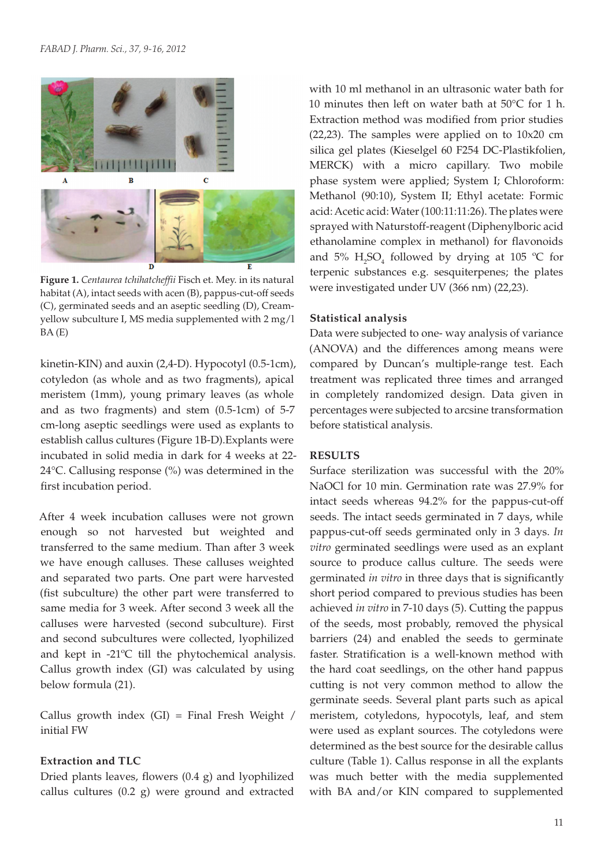

**Figure 1.** *Centaurea tchihatcheffii* Fisch et. Mey. in its natural habitat (A), intact seeds with acen (B), pappus-cut-off seeds (C), germinated seeds and an aseptic seedling (D), Creamyellow subculture I, MS media supplemented with 2 mg/l BA (E)

kinetin-KIN) and auxin (2,4-D). Hypocotyl (0.5-1cm), cotyledon (as whole and as two fragments), apical meristem (1mm), young primary leaves (as whole and as two fragments) and stem (0.5-1cm) of 5-7 cm-long aseptic seedlings were used as explants to establish callus cultures (Figure 1B-D).Explants were incubated in solid media in dark for 4 weeks at 22- 24°C. Callusing response (%) was determined in the first incubation period.

After 4 week incubation calluses were not grown enough so not harvested but weighted and transferred to the same medium. Than after 3 week we have enough calluses. These calluses weighted and separated two parts. One part were harvested (fist subculture) the other part were transferred to same media for 3 week. After second 3 week all the calluses were harvested (second subculture). First and second subcultures were collected, lyophilized and kept in -21ºC till the phytochemical analysis. Callus growth index (GI) was calculated by using below formula (21).

Callus growth index  $(GI)$  = Final Fresh Weight / initial FW

## **Extraction and TLC**

Dried plants leaves, flowers (0.4 g) and lyophilized callus cultures (0.2 g) were ground and extracted with 10 ml methanol in an ultrasonic water bath for 10 minutes then left on water bath at 50°C for 1 h. Extraction method was modified from prior studies (22,23). The samples were applied on to 10x20 cm silica gel plates (Kieselgel 60 F254 DC-Plastikfolien, MERCK) with a micro capillary. Two mobile phase system were applied; System I; Chloroform: Methanol (90:10), System II; Ethyl acetate: Formic acid: Acetic acid: Water (100:11:11:26). The plates were sprayed with Naturstoff-reagent (Diphenylboric acid ethanolamine complex in methanol) for flavonoids and  $5\%$  H<sub>2</sub>SO<sub>4</sub> followed by drying at 105 °C for terpenic substances e.g. sesquiterpenes; the plates were investigated under UV (366 nm) (22,23).

#### **Statistical analysis**

Data were subjected to one- way analysis of variance (ANOVA) and the differences among means were compared by Duncan's multiple-range test. Each treatment was replicated three times and arranged in completely randomized design. Data given in percentages were subjected to arcsine transformation before statistical analysis.

## **RESULTS**

Surface sterilization was successful with the 20% NaOCl for 10 min. Germination rate was 27.9% for intact seeds whereas 94.2% for the pappus-cut-off seeds. The intact seeds germinated in 7 days, while pappus-cut-off seeds germinated only in 3 days. *In vitro* germinated seedlings were used as an explant source to produce callus culture. The seeds were germinated *in vitro* in three days that is significantly short period compared to previous studies has been achieved *in vitro* in 7-10 days (5). Cutting the pappus of the seeds, most probably, removed the physical barriers (24) and enabled the seeds to germinate faster. Stratification is a well-known method with the hard coat seedlings, on the other hand pappus cutting is not very common method to allow the germinate seeds. Several plant parts such as apical meristem, cotyledons, hypocotyls, leaf, and stem were used as explant sources. The cotyledons were determined as the best source for the desirable callus culture (Table 1). Callus response in all the explants was much better with the media supplemented with BA and/or KIN compared to supplemented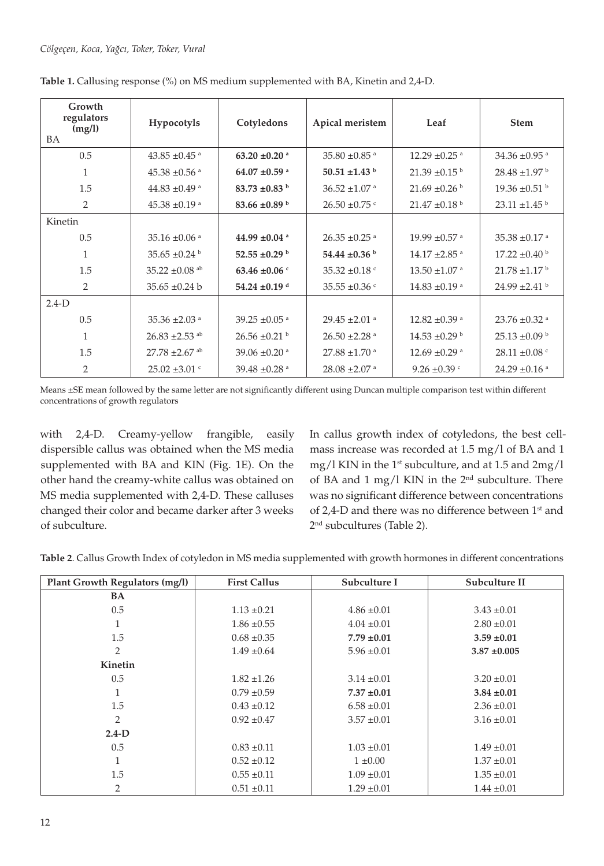| Growth<br>regulators<br>(mg/l)<br>BA | Hypocotyls                     | Cotyledons                    | Apical meristem               | Leaf                          | <b>Stem</b>                   |
|--------------------------------------|--------------------------------|-------------------------------|-------------------------------|-------------------------------|-------------------------------|
| 0.5                                  | $43.85 \pm 0.45$ <sup>a</sup>  | 63.20 $\pm$ 0.20 $^{\circ}$   | 35.80 $\pm$ 0.85 $^{\circ}$   | $12.29 \pm 0.25$ <sup>a</sup> | 34.36 $\pm$ 0.95 $^{\circ}$   |
| 1                                    | $45.38 + 0.56$ <sup>a</sup>    | 64.07 ±0.59 $^{\circ}$        | 50.51 $\pm$ 1.43 <sup>b</sup> | $21.39 \pm 0.15^{\text{ b}}$  | $28.48 \pm 1.97$ <sup>b</sup> |
| 1.5                                  | $44.83 \pm 0.49$ <sup>a</sup>  | 83.73 $\pm$ 0.83 $^{\rm b}$   | $36.52 \pm 1.07$ <sup>a</sup> | $21.69 \pm 0.26$              | $19.36 \pm 0.51$ b            |
| 2                                    | $45.38 \pm 0.19$ <sup>a</sup>  | 83.66 $\pm$ 0.89 b            | $26.50 \pm 0.75$ c            | $21.47 \pm 0.18$              | $23.11 \pm 1.45$ <sup>b</sup> |
| Kinetin                              |                                |                               |                               |                               |                               |
| 0.5                                  | 35.16 $\pm$ 0.06 a             | 44.99 $\pm 0.04$ <sup>a</sup> | $26.35 \pm 0.25$ <sup>a</sup> | $19.99 \pm 0.57$ <sup>a</sup> | 35.38 $\pm$ 0.17 a            |
| 1                                    | $35.65 \pm 0.24$               | 52.55 $\pm$ 0.29 <sup>b</sup> | 54.44 $\pm$ 0.36 <sup>b</sup> | $14.17 \pm 2.85$ <sup>a</sup> | $17.22 \pm 0.40^{\mathrm{b}}$ |
| 1.5                                  | 35.22 $\pm$ 0.08 ab            | 63.46 $\pm 0.06$ °            | 35.32 $\pm 0.18$ <sup>c</sup> | $13.50 \pm 1.07$ <sup>a</sup> | $21.78 \pm 1.17^{\text{ b}}$  |
| 2                                    | $35.65 \pm 0.24$ b             | 54.24 $\pm$ 0.19 <sup>d</sup> | 35.55 $\pm 0.36$ c            | $14.83 \pm 0.19$ <sup>a</sup> | $24.99 \pm 2.41$ b            |
| $2.4-D$                              |                                |                               |                               |                               |                               |
| 0.5                                  | 35.36 $\pm$ 2.03 a             | 39.25 $\pm$ 0.05 $^{\circ}$   | $29.45 \pm 2.01$ <sup>a</sup> | $12.82 \pm 0.39$ <sup>a</sup> | $23.76 \pm 0.32$ <sup>a</sup> |
| $\mathbf{1}$                         | $26.83 + 2.53$ <sup>ab</sup>   | $26.56 \pm 0.21$              | $26.50 \pm 2.28$ <sup>a</sup> | $14.53 + 0.29$ <sup>b</sup>   | $25.13 \pm 0.09$ b            |
| 1.5                                  | $27.78 \pm 2.67$ <sup>ab</sup> | 39.06 $\pm$ 0.20 $^{\circ}$   | $27.88 \pm 1.70$ <sup>a</sup> | $12.69 + 0.29$ <sup>a</sup>   | $28.11 \pm 0.08$ <sup>c</sup> |
| $\overline{2}$                       | $25.02 \pm 3.01$ c             | 39.48 $\pm$ 0.28 a            | $28.08 \pm 2.07$ <sup>a</sup> | 9.26 $\pm$ 0.39 $\degree$     | 24.29 $\pm$ 0.16 a            |

**Table 1.** Callusing response (%) on MS medium supplemented with BA, Kinetin and 2,4-D.

Means ±SE mean followed by the same letter are not significantly different using Duncan multiple comparison test within different concentrations of growth regulators

with 2,4-D. Creamy-yellow frangible, easily dispersible callus was obtained when the MS media supplemented with BA and KIN (Fig. 1E). On the other hand the creamy-white callus was obtained on MS media supplemented with 2,4-D. These calluses changed their color and became darker after 3 weeks of subculture.

In callus growth index of cotyledons, the best cellmass increase was recorded at 1.5 mg/l of BA and 1 mg/l KIN in the  $1<sup>st</sup>$  subculture, and at 1.5 and  $2mg/l$ of BA and 1 mg/l KIN in the  $2<sup>nd</sup>$  subculture. There was no significant difference between concentrations of 2,4-D and there was no difference between 1<sup>st</sup> and 2nd subcultures (Table 2).

**Table 2**. Callus Growth Index of cotyledon in MS media supplemented with growth hormones in different concentrations

| <b>Plant Growth Regulators (mg/l)</b> | <b>First Callus</b> | Subculture I    | Subculture II    |
|---------------------------------------|---------------------|-----------------|------------------|
| BA                                    |                     |                 |                  |
| 0.5                                   | $1.13 \pm 0.21$     | $4.86 \pm 0.01$ | $3.43 \pm 0.01$  |
| 1                                     | $1.86 \pm 0.55$     | $4.04 \pm 0.01$ | $2.80 \pm 0.01$  |
| 1.5                                   | $0.68 \pm 0.35$     | $7.79 \pm 0.01$ | $3.59 \pm 0.01$  |
| 2                                     | $1.49 \pm 0.64$     | $5.96 \pm 0.01$ | $3.87 \pm 0.005$ |
| <b>Kinetin</b>                        |                     |                 |                  |
| 0.5                                   | $1.82 \pm 1.26$     | $3.14 \pm 0.01$ | $3.20 \pm 0.01$  |
|                                       | $0.79 \pm 0.59$     | $7.37 \pm 0.01$ | $3.84 \pm 0.01$  |
| 1.5                                   | $0.43 \pm 0.12$     | $6.58 \pm 0.01$ | $2.36 \pm 0.01$  |
| 2                                     | $0.92 \pm 0.47$     | $3.57 \pm 0.01$ | $3.16 \pm 0.01$  |
| $2.4-D$                               |                     |                 |                  |
| 0.5                                   | $0.83 \pm 0.11$     | $1.03 \pm 0.01$ | $1.49 \pm 0.01$  |
| $\mathbf{1}$                          | $0.52 \pm 0.12$     | $1 \pm 0.00$    | $1.37 \pm 0.01$  |
| 1.5                                   | $0.55 \pm 0.11$     | $1.09 \pm 0.01$ | $1.35 \pm 0.01$  |
| 2                                     | $0.51 \pm 0.11$     | $1.29 \pm 0.01$ | $1.44 \pm 0.01$  |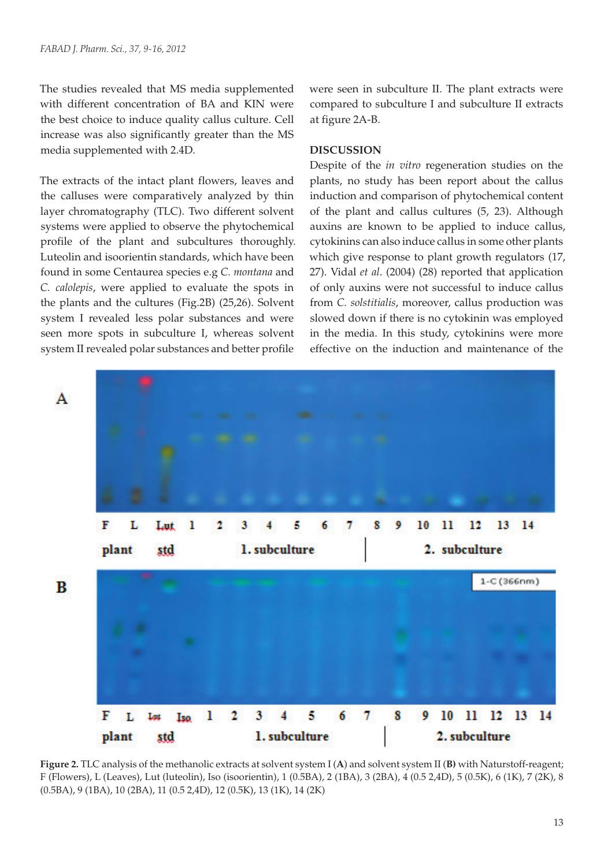The studies revealed that MS media supplemented with different concentration of BA and KIN were the best choice to induce quality callus culture. Cell increase was also significantly greater than the MS media supplemented with 2.4D.

The extracts of the intact plant flowers, leaves and the calluses were comparatively analyzed by thin layer chromatography (TLC). Two different solvent systems were applied to observe the phytochemical profile of the plant and subcultures thoroughly. Luteolin and isoorientin standards, which have been found in some Centaurea species e.g *C. montana* and *C. calolepis*, were applied to evaluate the spots in the plants and the cultures (Fig.2B) (25,26). Solvent system I revealed less polar substances and were seen more spots in subculture I, whereas solvent system II revealed polar substances and better profile

were seen in subculture II. The plant extracts were compared to subculture I and subculture II extracts at figure 2A-B.

#### **DISCUSSION**

Despite of the *in vitro* regeneration studies on the plants, no study has been report about the callus induction and comparison of phytochemical content of the plant and callus cultures (5, 23). Although auxins are known to be applied to induce callus, cytokinins can also induce callus in some other plants which give response to plant growth regulators (17, 27). Vidal *et al*. (2004) (28) reported that application of only auxins were not successful to induce callus from *C. solstitialis*, moreover, callus production was slowed down if there is no cytokinin was employed in the media. In this study, cytokinins were more effective on the induction and maintenance of the



**Figure 2.** TLC analysis of the methanolic extracts at solvent system I (**A**) and solvent system II (**B)** with Naturstoff-reagent; F (Flowers), L (Leaves), Lut (luteolin), Iso (isoorientin), 1 (0.5BA), 2 (1BA), 3 (2BA), 4 (0.5 2,4D), 5 (0.5K), 6 (1K), 7 (2K), 8 (0.5BA), 9 (1BA), 10 (2BA), 11 (0.5 2,4D), 12 (0.5K), 13 (1K), 14 (2K)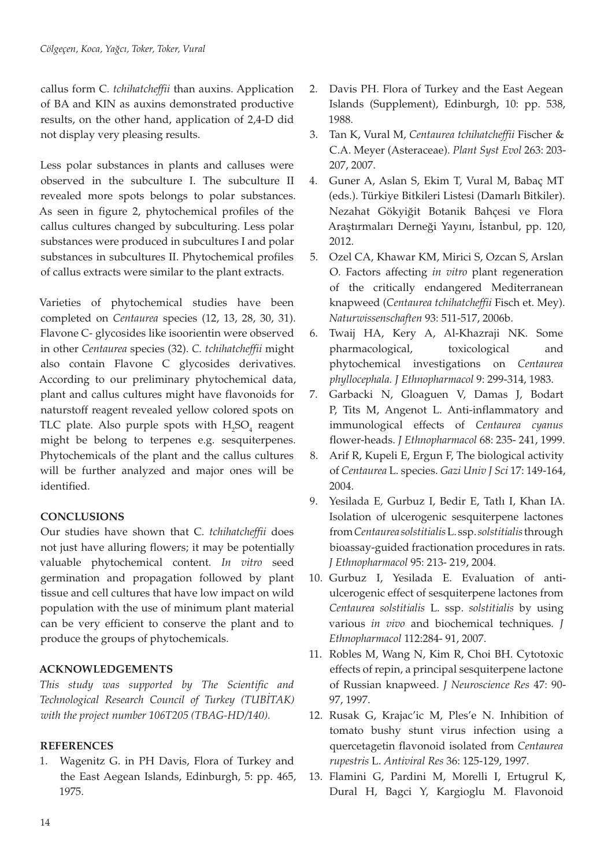callus form C*. tchihatcheffii* than auxins. Application of BA and KIN as auxins demonstrated productive results, on the other hand, application of 2,4-D did not display very pleasing results.

Less polar substances in plants and calluses were observed in the subculture I. The subculture II revealed more spots belongs to polar substances. As seen in figure 2, phytochemical profiles of the callus cultures changed by subculturing. Less polar substances were produced in subcultures I and polar substances in subcultures II. Phytochemical profiles of callus extracts were similar to the plant extracts.

Varieties of phytochemical studies have been completed on *Centaurea* species (12, 13, 28, 30, 31). Flavone C- glycosides like isoorientin were observed in other *Centaurea* species (32). *C. tchihatcheffii* might also contain Flavone C glycosides derivatives. According to our preliminary phytochemical data, plant and callus cultures might have flavonoids for naturstoff reagent revealed yellow colored spots on TLC plate. Also purple spots with  $H_2SO_4$  reagent might be belong to terpenes e.g. sesquiterpenes. Phytochemicals of the plant and the callus cultures will be further analyzed and major ones will be identified.

# **CONCLUSIONS**

Our studies have shown that C*. tchihatcheffii* does not just have alluring flowers; it may be potentially valuable phytochemical content. *In vitro* seed germination and propagation followed by plant tissue and cell cultures that have low impact on wild population with the use of minimum plant material can be very efficient to conserve the plant and to produce the groups of phytochemicals.

# **ACKNOWLEDGEMENTS**

*This study was supported by The Scientific and Technological Research Council of Turkey (TUBİTAK) with the project number 106T205 (TBAG-HD/140).*

# **REFERENCES**

1. Wagenitz G. in PH Davis, Flora of Turkey and the East Aegean Islands, Edinburgh, 5: pp. 465, 1975.

- 2. Davis PH. Flora of Turkey and the East Aegean Islands (Supplement), Edinburgh, 10: pp. 538, 1988.
- 3. Tan K, Vural M, *Centaurea tchihatcheffii* Fischer & C.A. Meyer (Asteraceae). *Plant Syst Evol* 263: 203- 207, 2007.
- 4. Guner A, Aslan S, Ekim T, Vural M, Babaç MT (eds.). Türkiye Bitkileri Listesi (Damarlı Bitkiler). Nezahat Gökyiğit Botanik Bahçesi ve Flora Araştırmaları Derneği Yayını, İstanbul, pp. 120, 2012.
- 5. Ozel CA, Khawar KM, Mirici S, Ozcan S, Arslan O. Factors affecting *in vitro* plant regeneration of the critically endangered Mediterranean knapweed (*Centaurea tchihatcheffii* Fisch et. Mey). *Naturwissenschaften* 93: 511-517, 2006b.
- 6. Twaij HA, Kery A, Al-Khazraji NK. Some pharmacological, toxicological and phytochemical investigations on *Centaurea phyllocephala. J Ethnopharmacol* 9: 299-314, 1983.
- 7. Garbacki N, Gloaguen V, Damas J, Bodart P, Tits M, Angenot L. Anti-inflammatory and immunological effects of *Centaurea cyanus*  flower-heads. *J Ethnopharmacol* 68: 235- 241, 1999.
- 8. Arif R, Kupeli E, Ergun F, The biological activity of *Centaurea* L. species. *Gazi Univ J Sci* 17: 149-164, 2004.
- 9. Yesilada E*,* Gurbuz I, Bedir E, Tatlı I, Khan IA. Isolation of ulcerogenic sesquiterpene lactones from *Centaurea solstitialis* L. ssp. *solstitialis* through bioassay-guided fractionation procedures in rats. *J Ethnopharmacol* 95: 213- 219, 2004.
- 10. Gurbuz I, Yesilada E. Evaluation of antiulcerogenic effect of sesquiterpene lactones from *Centaurea solstitialis* L. ssp. *solstitialis* by using various *in vivo* and biochemical techniques*. J Ethnopharmacol* 112:284- 91, 2007.
- 11. Robles M, Wang N, Kim R, Choi BH. Cytotoxic effects of repin, a principal sesquiterpene lactone of Russian knapweed. *J Neuroscience Res* 47: 90- 97, 1997.
- 12. Rusak G, Krajac'ic M, Ples'e N. Inhibition of tomato bushy stunt virus infection using a quercetagetin flavonoid isolated from *Centaurea rupestris* L. *Antiviral Res* 36: 125-129, 1997.
- 13. Flamini G, Pardini M, Morelli I, Ertugrul K, Dural H, Bagci Y, Kargioglu M. Flavonoid